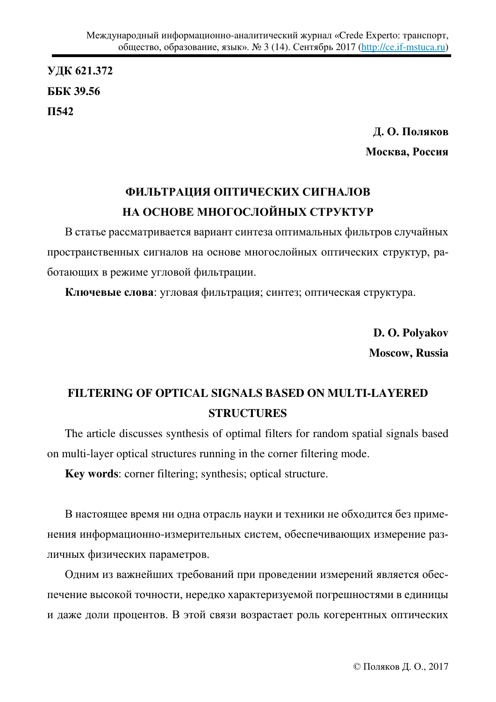**ɍȾɄ 621.372 ȻȻɄ 39.56 ɉ542**

> Д. О. Поляков **Москва, Россия**

## **ФИЛЬТРАЦИЯ ОПТИЧЕСКИХ СИГНАЛОВ** НА ОСНОВЕ МНОГОСЛОЙНЫХ СТРУКТУР

В статье рассматривается вариант синтеза оптимальных фильтров случайных пространственных сигналов на основе многослойных оптических структур, работающих в режиме угловой фильтрации.

Ключевые слова: угловая фильтрация; синтез; оптическая структура.

**D. O. Polyakov Moscow, Russia** 

## **FILTERING OF OPTICAL SIGNALS BASED ON MULTI-LAYERED STRUCTURES**

The article discusses synthesis of optimal filters for random spatial signals based on multi-layer optical structures running in the corner filtering mode.

**Key words**: corner filtering; synthesis; optical structure.

В настоящее время ни одна отрасль науки и техники не обходится без применения информационно-измерительных систем, обеспечивающих измерение различных физических параметров.

Одним из важнейших требований при проведении измерений является обеспечение высокой точности, нередко характеризуемой погрешностями в единицы и даже доли процентов. В этой связи возрастает роль когерентных оптических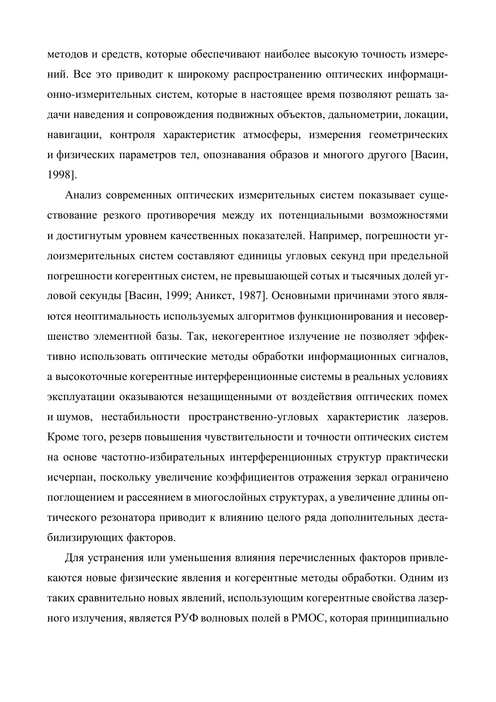методов и средств, которые обеспечивают наиболее высокую точность измерений. Все это приводит к широкому распространению оптических информационно-измерительных систем, которые в настоящее время позволяют решать задачи наведения и сопровождения подвижных объектов, дальнометрии, локации, навигации, контроля характеристик атмосферы, измерения геометрических и физических параметров тел, опознавания образов и многого другого [Васин, 1998].

Анализ современных оптических измерительных систем показывает существование резкого противоречия между их потенциальными возможностями и достигнутым уровнем качественных показателей. Например, погрешности углоизмерительных систем составляют единицы угловых секунд при предельной погрешности когерентных систем, не превышающей сотых и тысячных долей угловой секунды [Васин, 1999; Аникст, 1987]. Основными причинами этого являются неоптимальность используемых алгоритмов функционирования и несовершенство элементной базы. Так, некогерентное излучение не позволяет эффективно использовать оптические методы обработки информационных сигналов, а высокоточные когерентные интерференционные системы в реальных условиях эксплуатации оказываются незащищенными от воздействия оптических помех и шумов, нестабильности пространственно-угловых характеристик лазеров. Кроме того, резерв повышения чувствительности и точности оптических систем на основе частотно-избирательных интерференционных структур практически исчерпан, поскольку увеличение коэффициентов отражения зеркал ограничено поглощением и рассеянием в многослойных структурах, а увеличение длины оптического резонатора приводит к влиянию целого ряда дополнительных дестабилизирующих факторов.

Для устранения или уменьшения влияния перечисленных факторов привлекаются новые физические явления и когерентные методы обработки. Одним из таких сравнительно новых явлений, использующим когерентные свойства лазерного излучения, является РУФ волновых полей в РМОС, которая принципиально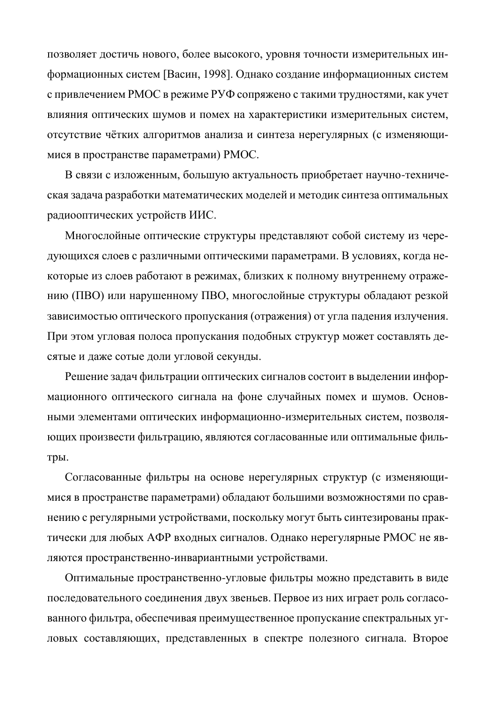позволяет достичь нового, более высокого, уровня точности измерительных информационных систем [Васин, 1998]. Однако создание информационных систем с привлечением РМОС в режиме РУФ сопряжено с такими трудностями, как учет влияния оптических шумов и помех на характеристики измерительных систем, отсутствие чётких алгоритмов анализа и синтеза нерегулярных (с изменяющимися в пространстве параметрами) РМОС.

В связи с изложенным, большую актуальность приобретает научно-техническая задача разработки математических моделей и методик синтеза оптимальных радиооптических устройств ИИС.

Многослойные оптические структуры представляют собой систему из чередующихся слоев с различными оптическими параметрами. В условиях, когда некоторые из слоев работают в режимах, близких к полному внутреннему отражению (ПВО) или нарушенному ПВО, многослойные структуры обладают резкой зависимостью оптического пропускания (отражения) от угла падения излучения. При этом угловая полоса пропускания подобных структур может составлять десятые и даже сотые доли угловой секунды.

Решение задач фильтрации оптических сигналов состоит в выделении информационного оптического сигнала на фоне случайных помех и шумов. Основными элементами оптических информационно-измерительных систем, позволяющих произвести фильтрацию, являются согласованные или оптимальные фильтры.

Согласованные фильтры на основе нерегулярных структур (с изменяющимися в пространстве параметрами) обладают большими возможностями по сравнению с регулярными устройствами, поскольку могут быть синтезированы практически для любых АФР входных сигналов. Однако нерегулярные РМОС не являются пространственно-инвариантными устройствами.

Оптимальные пространственно-угловые фильтры можно представить в виде последовательного соединения двух звеньев. Первое из них играет роль согласованного фильтра, обеспечивая преимущественное пропускание спектральных угловых составляющих, представленных в спектре полезного сигнала. Второе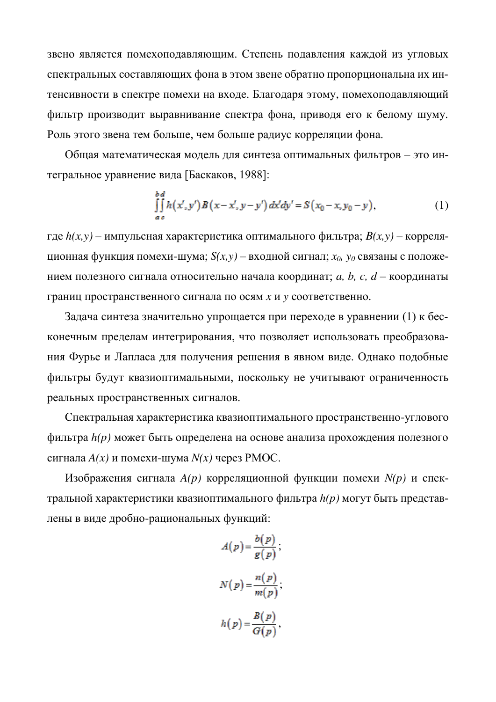звено является помехоподавляющим. Степень подавления каждой из угловых спектральных составляющих фона в этом звене обратно пропорциональна их интенсивности в спектре помехи на входе. Благодаря этому, помехоподавляющий фильтр производит выравнивание спектра фона, приводя его к белому шуму. Роль этого звена тем больше, чем больше радиус корреляции фона.

Общая математическая модель для синтеза оптимальных фильтров - это интегральное уравнение вида [Баскаков, 1988]:

$$
\iint_{ac} h(x', y') B(x - x', y - y') dx' dy' = S(x_0 - x, y_0 - y),
$$
\n(1)

где  $h(x, y)$  – импульсная характеристика оптимального фильтра;  $B(x, y)$  – коррелящионная функция помехи-шума;  $S(x, y)$  – входной сигнал;  $x_0$ ,  $y_0$  связаны с положением полезного сигнала относительно начала координат; *a, b, c, d –* координаты границ пространственного сигнала по осям *х* и у соответственно.

Задача синтеза значительно упрощается при переходе в уравнении (1) к бесконечным пределам интегрирования, что позволяет использовать преобразования Фурье и Лапласа для получения решения в явном виде. Однако подобные фильтры будут квазиоптимальными, поскольку не учитывают ограниченность реальных пространственных сигналов.

Спектральная характеристика квазиоптимального пространственно-углового фильтра *h(p)* может быть определена на основе анализа прохождения полезного сигнала  $A(x)$  и помехи-шума  $N(x)$  через РМОС.

Изображения сигнала  $A(p)$  корреляционной функции помехи  $N(p)$  и спектральной характеристики квазиоптимального фильтра  $h(p)$  могут быть представлены в виде дробно-рациональных функций:

$$
A(p) = \frac{b(p)}{g(p)},
$$
  

$$
N(p) = \frac{n(p)}{m(p)},
$$
  

$$
h(p) = \frac{B(p)}{G(p)},
$$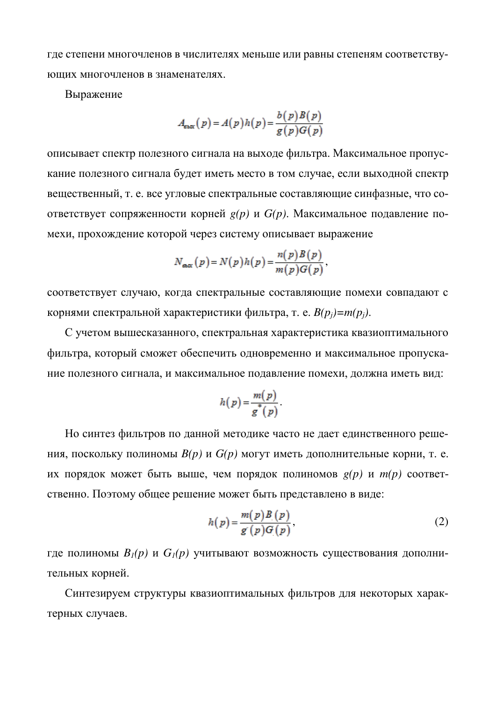где степени многочленов в числителях меньше или равны степеням соответствующих многочленов в знаменателях.

Выражение

$$
A_{\text{max}}(p) = A(p)h(p) = \frac{b(p)B(p)}{g(p)G(p)}
$$

описывает спектр полезного сигнала на выходе фильтра. Максимальное пропускание полезного сигнала будет иметь место в том случае, если выходной спектр вещественный, т. е. все угловые спектральные составляющие синфазные, что соответствует сопряженности корней  $g(p)$  и  $G(p)$ . Максимальное подавление помехи, прохождение которой через систему описывает выражение

$$
N_{\text{max}}(p) = N(p)h(p) = \frac{n(p)B(p)}{m(p)G(p)},
$$

соответствует случаю, когда спектральные составляющие помехи совпадают с корнями спектральной характеристики фильтра, т. е.  $B(p_i) = m(p_i)$ .

С учетом вышесказанного, спектральная характеристика квазиоптимального фильтра, который сможет обеспечить одновременно и максимальное пропускание полезного сигнала, и максимальное подавление помехи, должна иметь вид:

$$
h(p) = \frac{m(p)}{g^*(p)}.
$$

Но синтез фильтров по данной методике часто не дает единственного решения, поскольку полиномы  $B(p)$  и  $G(p)$  могут иметь дополнительные корни, т. е. их порядок может быть выше, чем порядок полиномов  $g(p)$  и  $m(p)$  соответственно. Поэтому общее решение может быть представлено в виде:

$$
h(p) = \frac{m(p)B(p)}{g(p)G(p)},
$$
\n(2)

где полиномы  $B_l(p)$  и  $G_l(p)$  учитывают возможность существования дополнительных корней.

Синтезируем структуры квазиоптимальных фильтров для некоторых характерных случаев.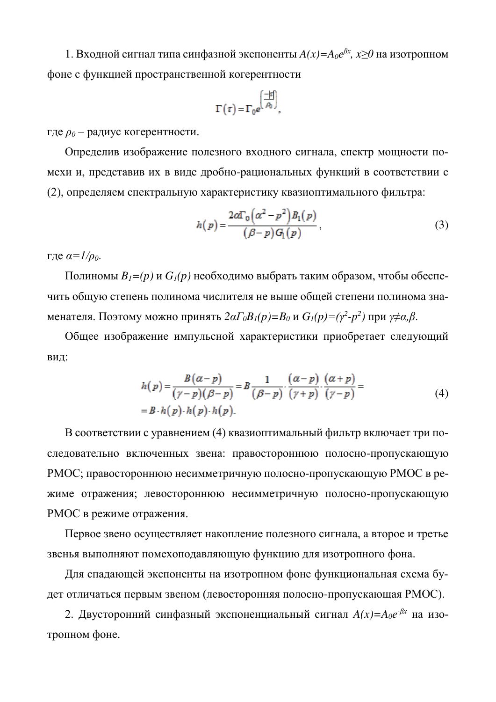1. Входной сигнал типа синфазной экспоненты  $A(x)=A_0e^{\beta x}$ ,  $x\geq 0$  на изотропном фоне с функцией пространственной когерентности

$$
\Gamma(\tau) = \Gamma_0 e^{\left(\frac{-|\tau|}{\rho_0}\right)},
$$

где  $\rho_0$  – радиус когерентности.

Определив изображение полезного входного сигнала, спектр мощности помехи и, представив их в виде дробно-рациональных функций в соответствии с (2), определяем спектральную характеристику квазиоптимального фильтра:

$$
h(p) = \frac{2\alpha \Gamma_0 (\alpha^2 - p^2) B_1(p)}{(\beta - p) G_1(p)},
$$
\n(3)

где  $\alpha = I/\rho_0$ .

 $\Pi$ олиномы  $B_I = (p)$  и  $G_I(p)$  необходимо выбрать таким образом, чтобы обеспечить общую степень полинома числителя не выше общей степени полинома знаменателя. Поэтому можно принять 2 $\alpha\Gamma_0B_I(p)$ = $B_0$  и  $G_I(p)$ = $(\gamma^2\text{-}p^2)$  при  $\gamma\neq\alpha,\beta$ .

Общее изображение импульсной характеристики приобретает следующий вид:

$$
h(p) = \frac{B(\alpha - p)}{(\gamma - p)(\beta - p)} = B \frac{1}{(\beta - p)} \cdot \frac{(\alpha - p)}{(\gamma + p)} \cdot \frac{(\alpha + p)}{(\gamma - p)} =
$$
  
= B \cdot h(p) \cdot h(p) \cdot h(p). (4)

В соответствии с уравнением (4) квазиоптимальный фильтр включает три последовательно включенных звена: правостороннюю полосно-пропускающую РМОС; правостороннюю несимметричную полосно-пропускающую РМОС в режиме отражения; левостороннюю несимметричную полосно-пропускающую РМОС в режиме отражения.

Первое звено осуществляет накопление полезного сигнала, а второе и третье звенья выполняют помехоподавляющую функцию для изотропного фона.

Для спадающей экспоненты на изотропном фоне функциональная схема будет отличаться первым звеном (левосторонняя полосно-пропускающая РМОС).

2. Двусторонний синфазный экспоненциальный сигнал  $A(x)=A_0e^{-\beta x}$  на изотропном фоне.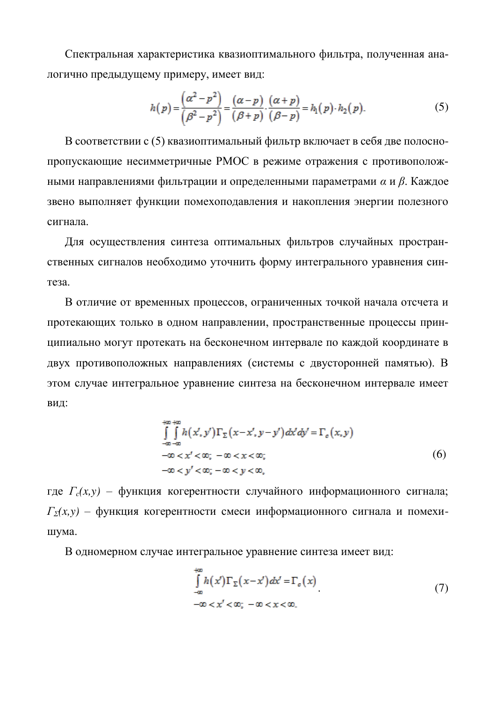Спектральная характеристика квазиоптимального фильтра, полученная аналогично предыдущему примеру, имеет вид:

$$
h(p) = \frac{\left(\alpha^2 - p^2\right)}{\left(\beta^2 - p^2\right)} = \frac{\left(\alpha - p\right)}{\left(\beta + p\right)} \cdot \frac{\left(\alpha + p\right)}{\left(\beta - p\right)} = h_1(p) \cdot h_2(p). \tag{5}
$$

В соответствии с (5) квазиоптимальный фильтр включает в себя две полоснопропускающие несимметричные РМОС в режиме отражения с противоположными направлениями фильтрации и определенными параметрами α и β. Каждое звено выполняет функции помехоподавления и накопления энергии полезного сигнала.

Для осуществления синтеза оптимальных фильтров случайных пространственных сигналов необходимо уточнить форму интегрального уравнения синтеза.

В отличие от временных процессов, ограниченных точкой начала отсчета и протекающих только в одном направлении, пространственные процессы принципиально могут протекать на бесконечном интервале по каждой координате в двух противоположных направлениях (системы с двусторонней памятью). В этом случае интегральное уравнение синтеза на бесконечном интервале имеет вид:

$$
\int_{-\infty}^{+\infty} \int_{-\infty}^{+\infty} h(x', y') \Gamma_{\Sigma} (x - x', y - y') dx' dy' = \Gamma_c (x, y)
$$
  

$$
-\infty < x' < \infty; \quad -\infty < x < \infty;
$$
  

$$
-\infty < y' < \infty; \quad -\infty < y < \infty,
$$
  
(6)

где *Г*<sub>*c*</sub>(*x,y*) – функция когерентности случайного информационного сигнала;  $\Gamma_{\Sigma}(x, y)$  – функция когерентности смеси информационного сигнала и помехишума.

В одномерном случае интегральное уравнение синтеза имеет вид:

$$
\int_{-\infty}^{+\infty} h(x') \Gamma_{\Sigma}(x - x') dx' = \Gamma_c(x)
$$
  

$$
-\infty < x' < \infty; \ -\infty < x < \infty.
$$
 (7)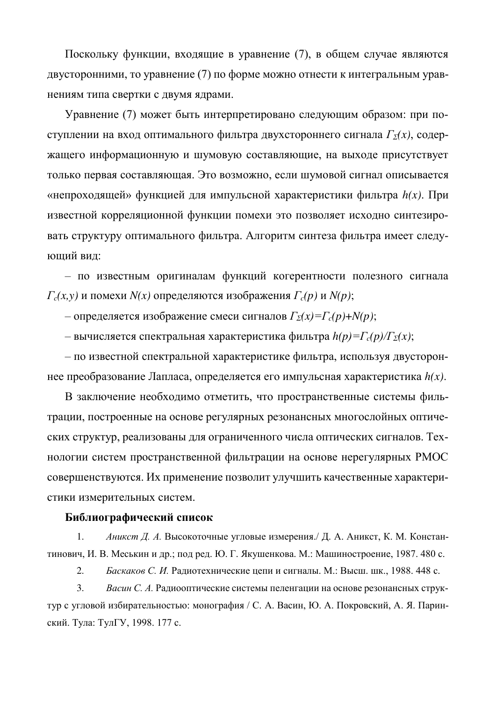Поскольку функции, входящие в уравнение (7), в общем случае являются двусторонними, то уравнение (7) по форме можно отнести к интегральным уравнениям типа свертки с двумя ядрами.

Уравнение (7) может быть интерпретировано следующим образом: при поступлении на вход оптимального фильтра двухстороннего сигнала  $\Gamma_{\Sigma}(x)$ , содержащего информационную и шумовую составляющие, на выходе присутствует только первая составляющая. Это возможно, если шумовой сигнал описывается «непроходящей» функцией для импульсной характеристики фильтра  $h(x)$ . При известной корреляционной функции помехи это позволяет исходно синтезировать структуру оптимального фильтра. Алгоритм синтеза фильтра имеет следующий вид:

– по известным оригиналам функций когерентности полезного сигнала  $\Gamma_c(x, y)$  и помехи  $N(x)$  определяются изображения  $\Gamma_c(p)$  и  $N(p)$ ;

– определяется изображение смеси сигналов  $\Gamma_{\Sigma}(x) = \Gamma_c(p) + N(p)$ ;

– вычисляется спектральная характеристика фильтра  $h(p) = \Gamma_c(p)/\Gamma_{\Sigma}(x)$ ;

– по известной спектральной характеристике фильтра, используя двустороннее преобразование Лапласа, определяется его импульсная характеристика  $h(x)$ .

В заключение необходимо отметить, что пространственные системы фильтрации, построенные на основе регулярных резонансных многослойных оптических структур, реализованы для ограниченного числа оптических сигналов. Технологии систем пространственной фильтрации на основе нерегулярных РМОС совершенствуются. Их применение позволит улучшить качественные характеристики измерительных систем.

## Библиографический список

1. *Аникст Д. А.* Высокоточные угловые измерения./ Д. А. Аникст, К. М. Константинович, И. В. Меськин и др.; под ред. Ю. Г. Якушенкова. М.: Машиностроение, 1987. 480 с.

2. *Баскаков С. И.* Радиотехнические цепи и сигналы. М.: Высш. шк., 1988. 448 с.

3. *Васин С. А. Радиооптические системы пеленгации на основе резонансных струк*тур с угловой избирательностью: монография / С. А. Васин, Ю. А. Покровский, А. Я. Паринский. Тула: ТулГУ, 1998. 177 с.